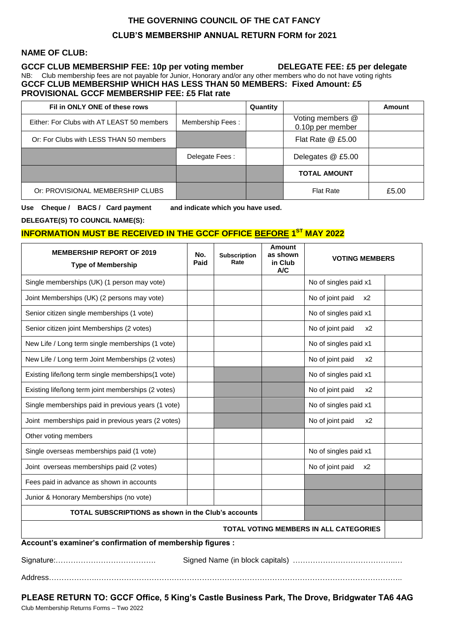# **THE GOVERNING COUNCIL OF THE CAT FANCY CLUB'S MEMBERSHIP ANNUAL RETURN FORM for 2021**

#### **NAME OF CLUB:**

**GCCF CLUB MEMBERSHIP FEE: 10p per voting member DELEGATE FEE: £5 per delegate** NB: Club membership fees are not payable for Junior, Honorary and/or any other members who do not have voting rights **GCCF CLUB MEMBERSHIP WHICH HAS LESS THAN 50 MEMBERS: Fixed Amount: £5 PROVISIONAL GCCF MEMBERSHIP FEE: £5 Flat rate**

| Fil in ONLY ONE of these rows              |                  | Quantity |                                      | Amount |
|--------------------------------------------|------------------|----------|--------------------------------------|--------|
| Either: For Clubs with AT LEAST 50 members | Membership Fees: |          | Voting members @<br>0.10p per member |        |
| Or: For Clubs with LESS THAN 50 members    |                  |          | Flat Rate @ £5.00                    |        |
|                                            | Delegate Fees:   |          | Delegates @ £5.00                    |        |
|                                            |                  |          | <b>TOTAL AMOUNT</b>                  |        |
| Or: PROVISIONAL MEMBERSHIP CLUBS           |                  |          | <b>Flat Rate</b>                     | £5.00  |

**Use Cheque / BACS / Card payment and indicate which you have used.** 

**DELEGATE(S) TO COUNCIL NAME(S):** 

### **INFORMATION MUST BE RECEIVED IN THE GCCF OFFICE BEFORE 1 ST MAY 2022**

| <b>MEMBERSHIP REPORT OF 2019</b><br><b>Type of Membership</b> | No.<br>Paid | <b>Subscription</b><br>Rate | Amount<br>as shown<br>in Club<br>A/C | <b>VOTING MEMBERS</b>     |  |  |  |
|---------------------------------------------------------------|-------------|-----------------------------|--------------------------------------|---------------------------|--|--|--|
| Single memberships (UK) (1 person may vote)                   |             |                             |                                      | No of singles paid x1     |  |  |  |
| Joint Memberships (UK) (2 persons may vote)                   |             |                             |                                      | No of joint paid<br>$x^2$ |  |  |  |
| Senior citizen single memberships (1 vote)                    |             |                             |                                      | No of singles paid x1     |  |  |  |
| Senior citizen joint Memberships (2 votes)                    |             |                             |                                      | No of joint paid<br>$x^2$ |  |  |  |
| New Life / Long term single memberships (1 vote)              |             |                             |                                      | No of singles paid x1     |  |  |  |
| New Life / Long term Joint Memberships (2 votes)              |             |                             |                                      | No of joint paid<br>x2    |  |  |  |
| Existing life/long term single memberships(1 vote)            |             |                             |                                      | No of singles paid x1     |  |  |  |
| Existing life/long term joint memberships (2 votes)           |             |                             |                                      | No of joint paid<br>$x^2$ |  |  |  |
| Single memberships paid in previous years (1 vote)            |             |                             |                                      | No of singles paid x1     |  |  |  |
| Joint memberships paid in previous years (2 votes)            |             |                             |                                      | No of joint paid<br>$x^2$ |  |  |  |
| Other voting members                                          |             |                             |                                      |                           |  |  |  |
| Single overseas memberships paid (1 vote)                     |             |                             |                                      | No of singles paid x1     |  |  |  |
| Joint overseas memberships paid (2 votes)                     |             |                             |                                      | No of joint paid<br>x2    |  |  |  |
| Fees paid in advance as shown in accounts                     |             |                             |                                      |                           |  |  |  |
| Junior & Honorary Memberships (no vote)                       |             |                             |                                      |                           |  |  |  |
| <b>TOTAL SUBSCRIPTIONS as shown in the Club's accounts</b>    |             |                             |                                      |                           |  |  |  |
| <b>TOTAL VOTING MEMBERS IN ALL CATEGORIES</b>                 |             |                             |                                      |                           |  |  |  |
| Account's examiner's confirmation of membership figures :     |             |                             |                                      |                           |  |  |  |

Signature:…………………………………. Signed Name (in block capitals) …………………………………..…

Address……………….…………………………………………………………………………………………………………..

**PLEASE RETURN TO: GCCF Office, 5 King's Castle Business Park, The Drove, Bridgwater TA6 4AG** Club Membership Returns Forms – Two 2022